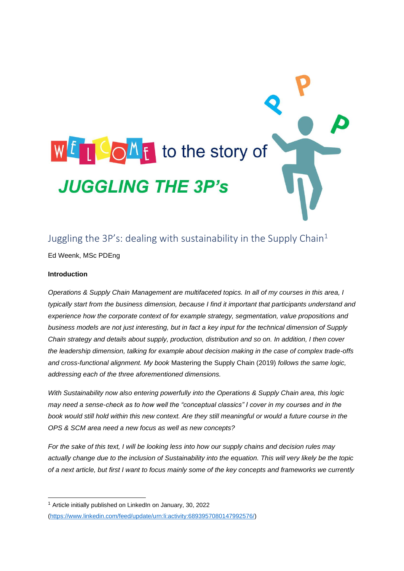

## Juggling the  $3P's$ : dealing with sustainability in the Supply Chain<sup>1</sup>

Ed Weenk, MSc PDEng

#### **Introduction**

*Operations & Supply Chain Management are multifaceted topics. In all of my courses in this area, I typically start from the business dimension, because I find it important that participants understand and experience how the corporate context of for example strategy, segmentation, value propositions and business models are not just interesting, but in fact a key input for the technical dimension of Supply Chain strategy and details about supply, production, distribution and so on. In addition, I then cover the leadership dimension, talking for example about decision making in the case of complex trade-offs and cross-functional alignment. My book* Mastering the Supply Chain (2019) *follows the same logic, addressing each of the three aforementioned dimensions.*

*With Sustainability now also entering powerfully into the Operations & Supply Chain area, this logic may need a sense-check as to how well the "conceptual classics" I cover in my courses and in the book would still hold within this new context. Are they still meaningful or would a future course in the OPS & SCM area need a new focus as well as new concepts?*

*For the sake of this text, I will be looking less into how our supply chains and decision rules may actually change due to the inclusion of Sustainability into the equation. This will very likely be the topic of a next article, but first I want to focus mainly some of the key concepts and frameworks we currently* 

<sup>1</sup> Article initially published on LinkedIn on January, 30, 2022

[<sup>\(</sup>https://www.linkedin.com/feed/update/urn:li:activity:6893957080147992576/\)](https://www.linkedin.com/feed/update/urn:li:activity:6893957080147992576/)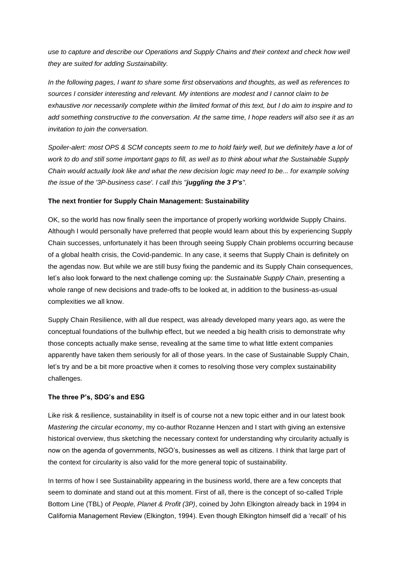*use to capture and describe our Operations and Supply Chains and their context and check how well they are suited for adding Sustainability.*

*In the following pages, I want to share some first observations and thoughts, as well as references to sources I consider interesting and relevant. My intentions are modest and I cannot claim to be exhaustive nor necessarily complete within the limited format of this text, but I do aim to inspire and to add something constructive to the conversation. At the same time, I hope readers will also see it as an invitation to join the conversation.*

Spoiler-alert: most OPS & SCM concepts seem to me to hold fairly well, but we definitely have a lot of *work to do and still some important gaps to fill, as well as to think about what the Sustainable Supply Chain would actually look like and what the new decision logic may need to be... for example solving the issue of the '3P-business case'. I call this "juggling the 3 P's".*

#### **The next frontier for Supply Chain Management: Sustainability**

OK, so the world has now finally seen the importance of properly working worldwide Supply Chains. Although I would personally have preferred that people would learn about this by experiencing Supply Chain successes, unfortunately it has been through seeing Supply Chain problems occurring because of a global health crisis, the Covid-pandemic. In any case, it seems that Supply Chain is definitely on the agendas now. But while we are still busy fixing the pandemic and its Supply Chain consequences, let's also look forward to the next challenge coming up: the *Sustainable Supply Chain*, presenting a whole range of new decisions and trade-offs to be looked at, in addition to the business-as-usual complexities we all know.

Supply Chain Resilience, with all due respect, was already developed many years ago, as were the conceptual foundations of the bullwhip effect, but we needed a big health crisis to demonstrate why those concepts actually make sense, revealing at the same time to what little extent companies apparently have taken them seriously for all of those years. In the case of Sustainable Supply Chain, let's try and be a bit more proactive when it comes to resolving those very complex sustainability challenges.

#### **The three P's, SDG's and ESG**

Like risk & resilience, sustainability in itself is of course not a new topic either and in our latest book *Mastering the circular economy*, my co-author Rozanne Henzen and I start with giving an extensive historical overview, thus sketching the necessary context for understanding why circularity actually is now on the agenda of governments, NGO's, businesses as well as citizens. I think that large part of the context for circularity is also valid for the more general topic of sustainability.

In terms of how I see Sustainability appearing in the business world, there are a few concepts that seem to dominate and stand out at this moment. First of all, there is the concept of so-called Triple Bottom Line (TBL) of *People, Planet & Profit (3P)*, coined by John Elkington already back in 1994 in California Management Review (Elkington, 1994). Even though Elkington himself did a 'recall' of his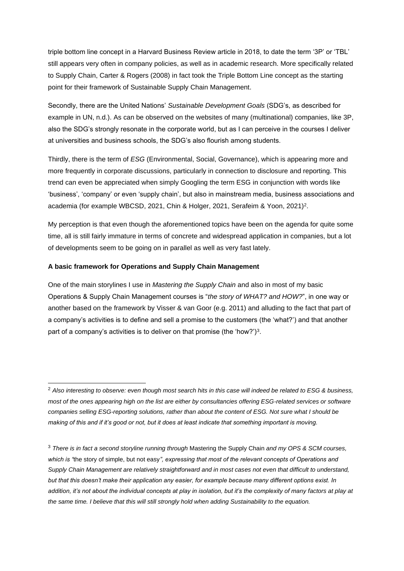triple bottom line concept in a Harvard Business Review article in 2018, to date the term '3P' or 'TBL' still appears very often in company policies, as well as in academic research. More specifically related to Supply Chain, Carter & Rogers (2008) in fact took the Triple Bottom Line concept as the starting point for their framework of Sustainable Supply Chain Management.

Secondly, there are the United Nations' *Sustainable Development Goals* (SDG's, as described for example in UN, n.d.). As can be observed on the websites of many (multinational) companies, like 3P, also the SDG's strongly resonate in the corporate world, but as I can perceive in the courses I deliver at universities and business schools, the SDG's also flourish among students.

Thirdly, there is the term of *ESG* (Environmental, Social, Governance), which is appearing more and more frequently in corporate discussions, particularly in connection to disclosure and reporting. This trend can even be appreciated when simply Googling the term ESG in conjunction with words like 'business', 'company' or even 'supply chain', but also in mainstream media, business associations and academia (for example WBCSD, 2021, Chin & Holger, 2021, Serafeim & Yoon, 2021)<sup>2</sup>.

My perception is that even though the aforementioned topics have been on the agenda for quite some time, all is still fairly immature in terms of concrete and widespread application in companies, but a lot of developments seem to be going on in parallel as well as very fast lately.

#### **A basic framework for Operations and Supply Chain Management**

One of the main storylines I use in *Mastering the Supply Chain* and also in most of my basic Operations & Supply Chain Management courses is "*the story of WHAT? and HOW?*", in one way or another based on the framework by Visser & van Goor (e.g. 2011) and alluding to the fact that part of a company's activities is to define and sell a promise to the customers (the 'what?') and that another part of a company's activities is to deliver on that promise (the 'how?')<sup>3</sup>.

<sup>2</sup> *Also interesting to observe: even though most search hits in this case will indeed be related to ESG & business, most of the ones appearing high on the list are either by consultancies offering ESG-related services or software companies selling ESG-reporting solutions, rather than about the content of ESG. Not sure what I should be making of this and if it's good or not, but it does at least indicate that something important is moving.*

<sup>3</sup> *There is in fact a second storyline running through* Mastering the Supply Chain *and my OPS & SCM courses, which is "*the story of simple, but not easy*", expressing that most of the relevant concepts of Operations and Supply Chain Management are relatively straightforward and in most cases not even that difficult to understand, but that this doesn't make their application any easier, for example because many different options exist. In*  addition, it's not about the individual concepts at play in isolation, but it's the complexity of many factors at play at *the same time. I believe that this will still strongly hold when adding Sustainability to the equation.*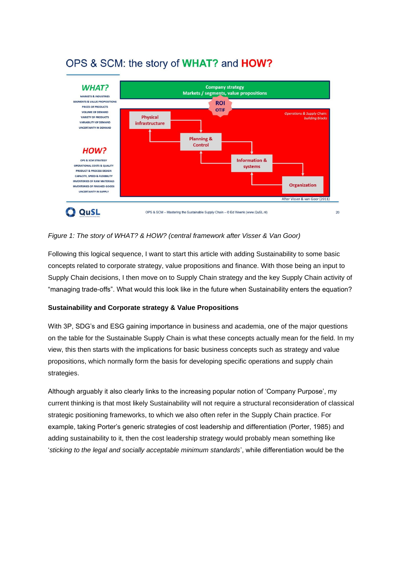

# OPS & SCM: the story of WHAT? and HOW?

#### *Figure 1: The story of WHAT? & HOW? (central framework after Visser & Van Goor)*

Following this logical sequence, I want to start this article with adding Sustainability to some basic concepts related to corporate strategy, value propositions and finance. With those being an input to Supply Chain decisions, I then move on to Supply Chain strategy and the key Supply Chain activity of "managing trade-offs". What would this look like in the future when Sustainability enters the equation?

#### **Sustainability and Corporate strategy & Value Propositions**

With 3P, SDG's and ESG gaining importance in business and academia, one of the major questions on the table for the Sustainable Supply Chain is what these concepts actually mean for the field. In my view, this then starts with the implications for basic business concepts such as strategy and value propositions, which normally form the basis for developing specific operations and supply chain strategies.

Although arguably it also clearly links to the increasing popular notion of 'Company Purpose', my current thinking is that most likely Sustainability will not require a structural reconsideration of classical strategic positioning frameworks, to which we also often refer in the Supply Chain practice. For example, taking Porter's generic strategies of cost leadership and differentiation (Porter, 1985) and adding sustainability to it, then the cost leadership strategy would probably mean something like '*sticking to the legal and socially acceptable minimum standards*', while differentiation would be the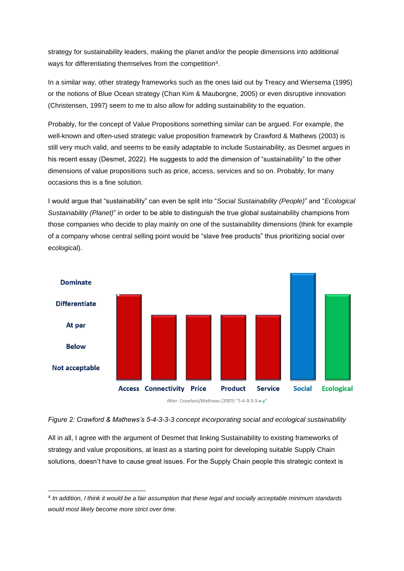strategy for sustainability leaders, making the planet and/or the people dimensions into additional ways for differentiating themselves from the competition<sup>4</sup>.

In a similar way, other strategy frameworks such as the ones laid out by Treacy and Wiersema (1995) or the notions of Blue Ocean strategy (Chan Kim & Mauborgne, 2005) or even disruptive innovation (Christensen, 1997) seem to me to also allow for adding sustainability to the equation.

Probably, for the concept of Value Propositions something similar can be argued. For example, the well-known and often-used strategic value proposition framework by Crawford & Mathews (2003) is still very much valid, and seems to be easily adaptable to include Sustainability, as Desmet argues in his recent essay (Desmet, 2022). He suggests to add the dimension of "sustainability" to the other dimensions of value propositions such as price, access, services and so on. Probably, for many occasions this is a fine solution.

I would argue that "sustainability" can even be split into "*Social Sustainability (People)*" and "*Ecological Sustainability (Planet)*" in order to be able to distinguish the true global sustainability champions from those companies who decide to play mainly on one of the sustainability dimensions (think for example of a company whose central selling point would be "slave free products" thus prioritizing social over ecological).



After: Crawford/Mathews (2003) "5-4-3-3-3-x-y"

All in all, I agree with the argument of Desmet that linking Sustainability to existing frameworks of strategy and value propositions, at least as a starting point for developing suitable Supply Chain solutions, doesn't have to cause great issues. For the Supply Chain people this strategic context is

*Figure 2: Crawford & Mathews's 5-4-3-3-3 concept incorporating social and ecological sustainability*

<sup>4</sup> *In addition, I think it would be a fair assumption that these legal and socially acceptable minimum standards would most likely become more strict over time.*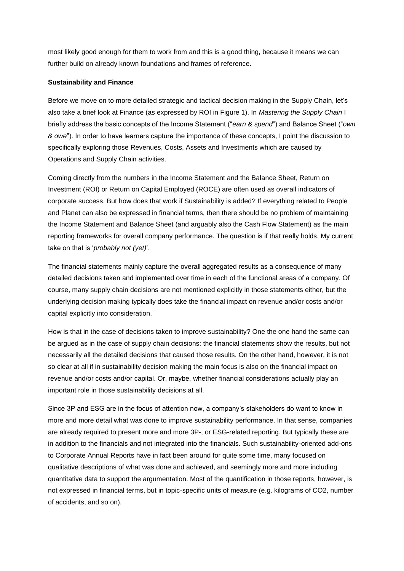most likely good enough for them to work from and this is a good thing, because it means we can further build on already known foundations and frames of reference.

#### **Sustainability and Finance**

Before we move on to more detailed strategic and tactical decision making in the Supply Chain, let's also take a brief look at Finance (as expressed by ROI in Figure 1). In *Mastering the Supply Chain* I briefly address the basic concepts of the Income Statement ("*earn & spend*") and Balance Sheet ("*own & owe*"). In order to have learners capture the importance of these concepts, I point the discussion to specifically exploring those Revenues, Costs, Assets and Investments which are caused by Operations and Supply Chain activities.

Coming directly from the numbers in the Income Statement and the Balance Sheet, Return on Investment (ROI) or Return on Capital Employed (ROCE) are often used as overall indicators of corporate success. But how does that work if Sustainability is added? If everything related to People and Planet can also be expressed in financial terms, then there should be no problem of maintaining the Income Statement and Balance Sheet (and arguably also the Cash Flow Statement) as the main reporting frameworks for overall company performance. The question is if that really holds. My current take on that is '*probably not (yet)*'.

The financial statements mainly capture the overall aggregated results as a consequence of many detailed decisions taken and implemented over time in each of the functional areas of a company. Of course, many supply chain decisions are not mentioned explicitly in those statements either, but the underlying decision making typically does take the financial impact on revenue and/or costs and/or capital explicitly into consideration.

How is that in the case of decisions taken to improve sustainability? One the one hand the same can be argued as in the case of supply chain decisions: the financial statements show the results, but not necessarily all the detailed decisions that caused those results. On the other hand, however, it is not so clear at all if in sustainability decision making the main focus is also on the financial impact on revenue and/or costs and/or capital. Or, maybe, whether financial considerations actually play an important role in those sustainability decisions at all.

Since 3P and ESG are in the focus of attention now, a company's stakeholders do want to know in more and more detail what was done to improve sustainability performance. In that sense, companies are already required to present more and more 3P-, or ESG-related reporting. But typically these are in addition to the financials and not integrated into the financials. Such sustainability-oriented add-ons to Corporate Annual Reports have in fact been around for quite some time, many focused on qualitative descriptions of what was done and achieved, and seemingly more and more including quantitative data to support the argumentation. Most of the quantification in those reports, however, is not expressed in financial terms, but in topic-specific units of measure (e.g. kilograms of CO2, number of accidents, and so on).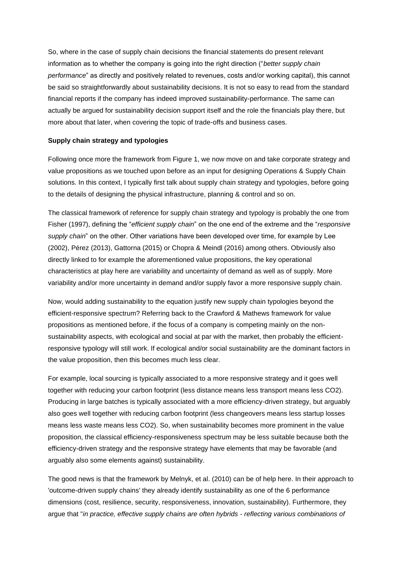So, where in the case of supply chain decisions the financial statements do present relevant information as to whether the company is going into the right direction ("*better supply chain performance*" as directly and positively related to revenues, costs and/or working capital), this cannot be said so straightforwardly about sustainability decisions. It is not so easy to read from the standard financial reports if the company has indeed improved sustainability-performance. The same can actually be argued for sustainability decision support itself and the role the financials play there, but more about that later, when covering the topic of trade-offs and business cases.

#### **Supply chain strategy and typologies**

Following once more the framework from Figure 1, we now move on and take corporate strategy and value propositions as we touched upon before as an input for designing Operations & Supply Chain solutions. In this context, I typically first talk about supply chain strategy and typologies, before going to the details of designing the physical infrastructure, planning & control and so on.

The classical framework of reference for supply chain strategy and typology is probably the one from Fisher (1997), defining the "*efficient supply chain*" on the one end of the extreme and the "*responsive supply chain*" on the other. Other variations have been developed over time, for example by Lee (2002), Pérez (2013), Gattorna (2015) or Chopra & Meindl (2016) among others. Obviously also directly linked to for example the aforementioned value propositions, the key operational characteristics at play here are variability and uncertainty of demand as well as of supply. More variability and/or more uncertainty in demand and/or supply favor a more responsive supply chain.

Now, would adding sustainability to the equation justify new supply chain typologies beyond the efficient-responsive spectrum? Referring back to the Crawford & Mathews framework for value propositions as mentioned before, if the focus of a company is competing mainly on the nonsustainability aspects, with ecological and social at par with the market, then probably the efficientresponsive typology will still work. If ecological and/or social sustainability are the dominant factors in the value proposition, then this becomes much less clear.

For example, local sourcing is typically associated to a more responsive strategy and it goes well together with reducing your carbon footprint (less distance means less transport means less CO2). Producing in large batches is typically associated with a more efficiency-driven strategy, but arguably also goes well together with reducing carbon footprint (less changeovers means less startup losses means less waste means less CO2). So, when sustainability becomes more prominent in the value proposition, the classical efficiency-responsiveness spectrum may be less suitable because both the efficiency-driven strategy and the responsive strategy have elements that may be favorable (and arguably also some elements against) sustainability.

The good news is that the framework by Melnyk, et al. (2010) can be of help here. In their approach to 'outcome-driven supply chains' they already identify sustainability as one of the 6 performance dimensions (cost, resilience, security, responsiveness, innovation, sustainability). Furthermore, they argue that "*in practice, effective supply chains are often hybrids - reflecting various combinations of*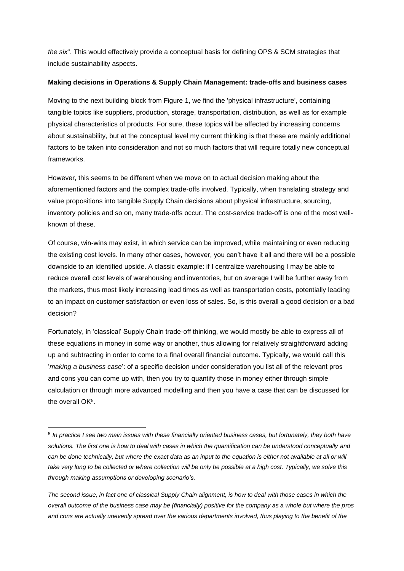*the six*". This would effectively provide a conceptual basis for defining OPS & SCM strategies that include sustainability aspects.

#### **Making decisions in Operations & Supply Chain Management: trade-offs and business cases**

Moving to the next building block from Figure 1, we find the 'physical infrastructure', containing tangible topics like suppliers, production, storage, transportation, distribution, as well as for example physical characteristics of products. For sure, these topics will be affected by increasing concerns about sustainability, but at the conceptual level my current thinking is that these are mainly additional factors to be taken into consideration and not so much factors that will require totally new conceptual frameworks.

However, this seems to be different when we move on to actual decision making about the aforementioned factors and the complex trade-offs involved. Typically, when translating strategy and value propositions into tangible Supply Chain decisions about physical infrastructure, sourcing, inventory policies and so on, many trade-offs occur. The cost-service trade-off is one of the most wellknown of these.

Of course, win-wins may exist, in which service can be improved, while maintaining or even reducing the existing cost levels. In many other cases, however, you can't have it all and there will be a possible downside to an identified upside. A classic example: if I centralize warehousing I may be able to reduce overall cost levels of warehousing and inventories, but on average I will be further away from the markets, thus most likely increasing lead times as well as transportation costs, potentially leading to an impact on customer satisfaction or even loss of sales. So, is this overall a good decision or a bad decision?

Fortunately, in 'classical' Supply Chain trade-off thinking, we would mostly be able to express all of these equations in money in some way or another, thus allowing for relatively straightforward adding up and subtracting in order to come to a final overall financial outcome. Typically, we would call this '*making a business case*': of a specific decision under consideration you list all of the relevant pros and cons you can come up with, then you try to quantify those in money either through simple calculation or through more advanced modelling and then you have a case that can be discussed for the overall OK<sup>5</sup>.

<sup>5</sup> *In practice I see two main issues with these financially oriented business cases, but fortunately, they both have solutions. The first one is how to deal with cases in which the quantification can be understood conceptually and*  can be done technically, but where the exact data as an input to the equation is either not available at all or will take very long to be collected or where collection will be only be possible at a high cost. Typically, we solve this *through making assumptions or developing scenario's.*

*The second issue, in fact one of classical Supply Chain alignment, is how to deal with those cases in which the overall outcome of the business case may be (financially) positive for the company as a whole but where the pros and cons are actually unevenly spread over the various departments involved, thus playing to the benefit of the*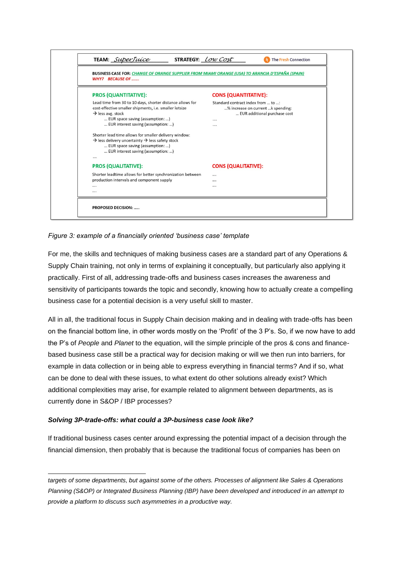

#### *Figure 3: example of a financially oriented 'business case' template*

For me, the skills and techniques of making business cases are a standard part of any Operations & Supply Chain training, not only in terms of explaining it conceptually, but particularly also applying it practically. First of all, addressing trade-offs and business cases increases the awareness and sensitivity of participants towards the topic and secondly, knowing how to actually create a compelling business case for a potential decision is a very useful skill to master.

All in all, the traditional focus in Supply Chain decision making and in dealing with trade-offs has been on the financial bottom line, in other words mostly on the 'Profit' of the 3 P's. So, if we now have to add the P's of *People* and *Planet* to the equation, will the simple principle of the pros & cons and financebased business case still be a practical way for decision making or will we then run into barriers, for example in data collection or in being able to express everything in financial terms? And if so, what can be done to deal with these issues, to what extent do other solutions already exist? Which additional complexities may arise, for example related to alignment between departments, as is currently done in S&OP / IBP processes?

#### *Solving 3P-trade-offs: what could a 3P-business case look like?*

If traditional business cases center around expressing the potential impact of a decision through the financial dimension, then probably that is because the traditional focus of companies has been on

*targets of some departments, but against some of the others. Processes of alignment like Sales & Operations Planning (S&OP) or Integrated Business Planning (IBP) have been developed and introduced in an attempt to provide a platform to discuss such asymmetries in a productive way.*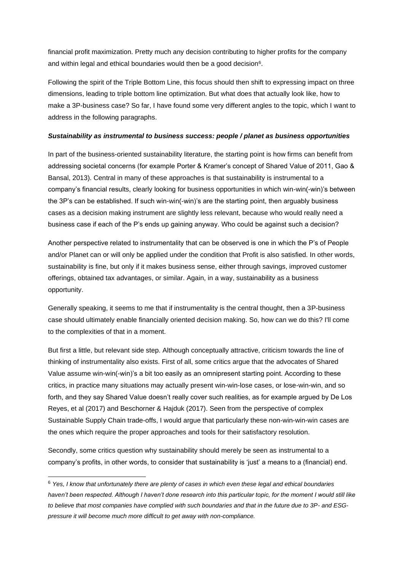financial profit maximization. Pretty much any decision contributing to higher profits for the company and within legal and ethical boundaries would then be a good decision $6$ .

Following the spirit of the Triple Bottom Line, this focus should then shift to expressing impact on three dimensions, leading to triple bottom line optimization. But what does that actually look like, how to make a 3P-business case? So far, I have found some very different angles to the topic, which I want to address in the following paragraphs.

#### *Sustainability as instrumental to business success: people / planet as business opportunities*

In part of the business-oriented sustainability literature, the starting point is how firms can benefit from addressing societal concerns (for example Porter & Kramer's concept of Shared Value of 2011, Gao & Bansal, 2013). Central in many of these approaches is that sustainability is instrumental to a company's financial results, clearly looking for business opportunities in which win-win(-win)'s between the 3P's can be established. If such win-win(-win)'s are the starting point, then arguably business cases as a decision making instrument are slightly less relevant, because who would really need a business case if each of the P's ends up gaining anyway. Who could be against such a decision?

Another perspective related to instrumentality that can be observed is one in which the P's of People and/or Planet can or will only be applied under the condition that Profit is also satisfied. In other words, sustainability is fine, but only if it makes business sense, either through savings, improved customer offerings, obtained tax advantages, or similar. Again, in a way, sustainability as a business opportunity.

Generally speaking, it seems to me that if instrumentality is the central thought, then a 3P-business case should ultimately enable financially oriented decision making. So, how can we do this? I'll come to the complexities of that in a moment.

But first a little, but relevant side step. Although conceptually attractive, criticism towards the line of thinking of instrumentality also exists. First of all, some critics argue that the advocates of Shared Value assume win-win(-win)'s a bit too easily as an omnipresent starting point. According to these critics, in practice many situations may actually present win-win-lose cases, or lose-win-win, and so forth, and they say Shared Value doesn't really cover such realities, as for example argued by De Los Reyes, et al (2017) and Beschorner & Hajduk (2017). Seen from the perspective of complex Sustainable Supply Chain trade-offs, I would argue that particularly these non-win-win-win cases are the ones which require the proper approaches and tools for their satisfactory resolution.

Secondly, some critics question why sustainability should merely be seen as instrumental to a company's profits, in other words, to consider that sustainability is 'just' a means to a (financial) end.

<sup>6</sup> *Yes, I know that unfortunately there are plenty of cases in which even these legal and ethical boundaries haven't been respected. Although I haven't done research into this particular topic, for the moment I would still like to believe that most companies have complied with such boundaries and that in the future due to 3P- and ESGpressure it will become much more difficult to get away with non-compliance.*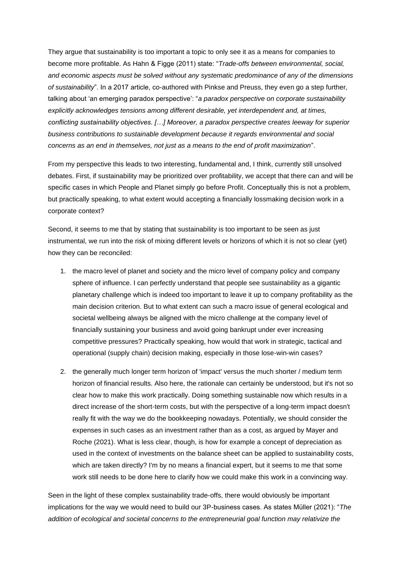They argue that sustainability is too important a topic to only see it as a means for companies to become more profitable. As Hahn & Figge (2011) state: "*Trade-offs between environmental, social, and economic aspects must be solved without any systematic predominance of any of the dimensions of sustainability*". In a 2017 article, co-authored with Pinkse and Preuss, they even go a step further, talking about 'an emerging paradox perspective': "*a paradox perspective on corporate sustainability explicitly acknowledges tensions among different desirable, yet interdependent and, at times, conflicting sustainability objectives. […] Moreover, a paradox perspective creates leeway for superior business contributions to sustainable development because it regards environmental and social concerns as an end in themselves, not just as a means to the end of profit maximization*".

From my perspective this leads to two interesting, fundamental and, I think, currently still unsolved debates. First, if sustainability may be prioritized over profitability, we accept that there can and will be specific cases in which People and Planet simply go before Profit. Conceptually this is not a problem, but practically speaking, to what extent would accepting a financially lossmaking decision work in a corporate context?

Second, it seems to me that by stating that sustainability is too important to be seen as just instrumental, we run into the risk of mixing different levels or horizons of which it is not so clear (yet) how they can be reconciled:

- 1. the macro level of planet and society and the micro level of company policy and company sphere of influence. I can perfectly understand that people see sustainability as a gigantic planetary challenge which is indeed too important to leave it up to company profitability as the main decision criterion. But to what extent can such a macro issue of general ecological and societal wellbeing always be aligned with the micro challenge at the company level of financially sustaining your business and avoid going bankrupt under ever increasing competitive pressures? Practically speaking, how would that work in strategic, tactical and operational (supply chain) decision making, especially in those lose-win-win cases?
- 2. the generally much longer term horizon of 'impact' versus the much shorter / medium term horizon of financial results. Also here, the rationale can certainly be understood, but it's not so clear how to make this work practically. Doing something sustainable now which results in a direct increase of the short-term costs, but with the perspective of a long-term impact doesn't really fit with the way we do the bookkeeping nowadays. Potentially, we should consider the expenses in such cases as an investment rather than as a cost, as argued by Mayer and Roche (2021). What is less clear, though, is how for example a concept of depreciation as used in the context of investments on the balance sheet can be applied to sustainability costs, which are taken directly? I'm by no means a financial expert, but it seems to me that some work still needs to be done here to clarify how we could make this work in a convincing way.

Seen in the light of these complex sustainability trade-offs, there would obviously be important implications for the way we would need to build our 3P-business cases. As states Müller (2021): "*The addition of ecological and societal concerns to the entrepreneurial goal function may relativize the*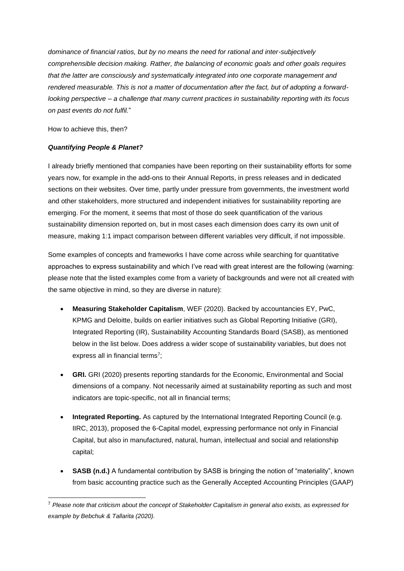*dominance of financial ratios, but by no means the need for rational and inter-subjectively comprehensible decision making. Rather, the balancing of economic goals and other goals requires that the latter are consciously and systematically integrated into one corporate management and rendered measurable. This is not a matter of documentation after the fact, but of adopting a forwardlooking perspective – a challenge that many current practices in sustainability reporting with its focus on past events do not fulfil.*"

How to achieve this, then?

#### *Quantifying People & Planet?*

I already briefly mentioned that companies have been reporting on their sustainability efforts for some years now, for example in the add-ons to their Annual Reports, in press releases and in dedicated sections on their websites. Over time, partly under pressure from governments, the investment world and other stakeholders, more structured and independent initiatives for sustainability reporting are emerging. For the moment, it seems that most of those do seek quantification of the various sustainability dimension reported on, but in most cases each dimension does carry its own unit of measure, making 1:1 impact comparison between different variables very difficult, if not impossible.

Some examples of concepts and frameworks I have come across while searching for quantitative approaches to express sustainability and which I've read with great interest are the following (warning: please note that the listed examples come from a variety of backgrounds and were not all created with the same objective in mind, so they are diverse in nature):

- **Measuring Stakeholder Capitalism**, WEF (2020). Backed by accountancies EY, PwC, KPMG and Deloitte, builds on earlier initiatives such as Global Reporting Initiative (GRI), Integrated Reporting (IR), Sustainability Accounting Standards Board (SASB), as mentioned below in the list below. Does address a wider scope of sustainability variables, but does not express all in financial terms<sup>7</sup>;
- **GRI.** GRI (2020) presents reporting standards for the Economic, Environmental and Social dimensions of a company. Not necessarily aimed at sustainability reporting as such and most indicators are topic-specific, not all in financial terms;
- **Integrated Reporting.** As captured by the International Integrated Reporting Council (e.g. IIRC, 2013), proposed the 6-Capital model, expressing performance not only in Financial Capital, but also in manufactured, natural, human, intellectual and social and relationship capital;
- **SASB (n.d.)** A fundamental contribution by SASB is bringing the notion of "materiality", known from basic accounting practice such as the Generally Accepted Accounting Principles (GAAP)

<sup>7</sup> *Please note that criticism about the concept of Stakeholder Capitalism in general also exists, as expressed for example by Bebchuk & Tallarita (2020).*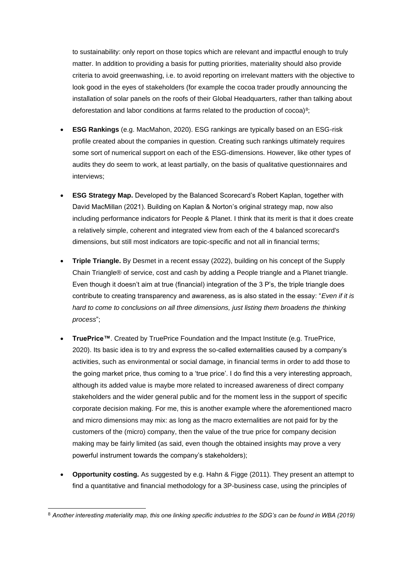to sustainability: only report on those topics which are relevant and impactful enough to truly matter. In addition to providing a basis for putting priorities, materiality should also provide criteria to avoid greenwashing, i.e. to avoid reporting on irrelevant matters with the objective to look good in the eyes of stakeholders (for example the cocoa trader proudly announcing the installation of solar panels on the roofs of their Global Headquarters, rather than talking about deforestation and labor conditions at farms related to the production of cocoa) $8$ ;

- **ESG Rankings** (e.g. MacMahon, 2020). ESG rankings are typically based on an ESG-risk profile created about the companies in question. Creating such rankings ultimately requires some sort of numerical support on each of the ESG-dimensions. However, like other types of audits they do seem to work, at least partially, on the basis of qualitative questionnaires and interviews;
- **ESG Strategy Map.** Developed by the Balanced Scorecard's Robert Kaplan, together with David MacMillan (2021). Building on Kaplan & Norton's original strategy map, now also including performance indicators for People & Planet. I think that its merit is that it does create a relatively simple, coherent and integrated view from each of the 4 balanced scorecard's dimensions, but still most indicators are topic-specific and not all in financial terms;
- **Triple Triangle.** By Desmet in a recent essay (2022), building on his concept of the Supply Chain Triangle® of service, cost and cash by adding a People triangle and a Planet triangle. Even though it doesn't aim at true (financial) integration of the 3 P's, the triple triangle does contribute to creating transparency and awareness, as is also stated in the essay: "*Even if it is hard to come to conclusions on all three dimensions, just listing them broadens the thinking process*";
- **TruePrice™**. Created by TruePrice Foundation and the Impact Institute (e.g. TruePrice, 2020). Its basic idea is to try and express the so-called externalities caused by a company's activities, such as environmental or social damage, in financial terms in order to add those to the going market price, thus coming to a 'true price'. I do find this a very interesting approach, although its added value is maybe more related to increased awareness of direct company stakeholders and the wider general public and for the moment less in the support of specific corporate decision making. For me, this is another example where the aforementioned macro and micro dimensions may mix: as long as the macro externalities are not paid for by the customers of the (micro) company, then the value of the true price for company decision making may be fairly limited (as said, even though the obtained insights may prove a very powerful instrument towards the company's stakeholders);
- **Opportunity costing.** As suggested by e.g. Hahn & Figge (2011). They present an attempt to find a quantitative and financial methodology for a 3P-business case, using the principles of

<sup>8</sup> *Another interesting materiality map, this one linking specific industries to the SDG's can be found in WBA (2019)*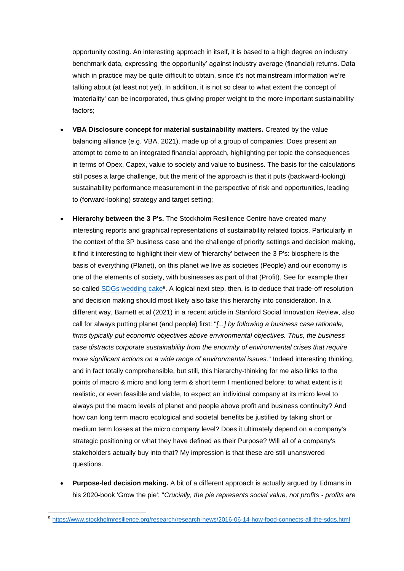opportunity costing. An interesting approach in itself, it is based to a high degree on industry benchmark data, expressing 'the opportunity' against industry average (financial) returns. Data which in practice may be quite difficult to obtain, since it's not mainstream information we're talking about (at least not yet). In addition, it is not so clear to what extent the concept of 'materiality' can be incorporated, thus giving proper weight to the more important sustainability factors;

- **VBA Disclosure concept for material sustainability matters.** Created by the value balancing alliance (e.g. VBA, 2021), made up of a group of companies. Does present an attempt to come to an integrated financial approach, highlighting per topic the consequences in terms of Opex, Capex, value to society and value to business. The basis for the calculations still poses a large challenge, but the merit of the approach is that it puts (backward-looking) sustainability performance measurement in the perspective of risk and opportunities, leading to (forward-looking) strategy and target setting;
- **Hierarchy between the 3 P's.** The Stockholm Resilience Centre have created many interesting reports and graphical representations of sustainability related topics. Particularly in the context of the 3P business case and the challenge of priority settings and decision making, it find it interesting to highlight their view of 'hierarchy' between the 3 P's: biosphere is the basis of everything (Planet), on this planet we live as societies (People) and our economy is one of the elements of society, with businesses as part of that (Profit). See for example their so-called [SDGs wedding cake](https://www.stockholmresilience.org/research/research-news/2016-06-14-how-food-connects-all-the-sdgs.html)<sup>9</sup>. A logical next step, then, is to deduce that trade-off resolution and decision making should most likely also take this hierarchy into consideration. In a different way, Barnett et al (2021) in a recent article in Stanford Social Innovation Review, also call for always putting planet (and people) first: "*[...] by following a business case rationale, firms typically put economic objectives above environmental objectives. Thus, the business case distracts corporate sustainability from the enormity of environmental crises that require more significant actions on a wide range of environmental issues.*" Indeed interesting thinking, and in fact totally comprehensible, but still, this hierarchy-thinking for me also links to the points of macro & micro and long term & short term I mentioned before: to what extent is it realistic, or even feasible and viable, to expect an individual company at its micro level to always put the macro levels of planet and people above profit and business continuity? And how can long term macro ecological and societal benefits be justified by taking short or medium term losses at the micro company level? Does it ultimately depend on a company's strategic positioning or what they have defined as their Purpose? Will all of a company's stakeholders actually buy into that? My impression is that these are still unanswered questions.
- **Purpose-led decision making.** A bit of a different approach is actually argued by Edmans in his 2020-book 'Grow the pie': "*Crucially, the pie represents social value, not profits - profits are*

<sup>9</sup> <https://www.stockholmresilience.org/research/research-news/2016-06-14-how-food-connects-all-the-sdgs.html>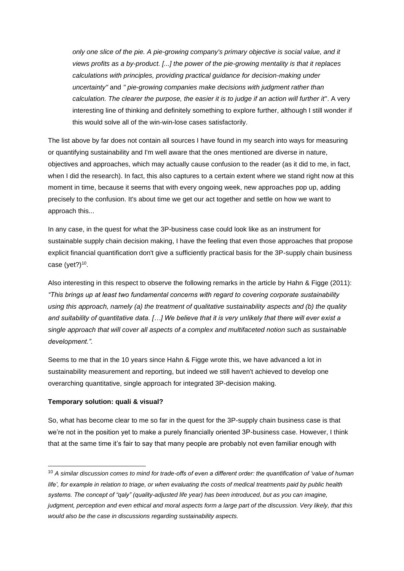*only one slice of the pie. A pie-growing company's primary objective is social value, and it views profits as a by-product. [...] the power of the pie-growing mentality is that it replaces calculations with principles, providing practical guidance for decision-making under uncertainty"* and *" pie-growing companies make decisions with judgment rather than calculation. The clearer the purpose, the easier it is to judge if an action will further it*". A very interesting line of thinking and definitely something to explore further, although I still wonder if this would solve all of the win-win-lose cases satisfactorily.

The list above by far does not contain all sources I have found in my search into ways for measuring or quantifying sustainability and I'm well aware that the ones mentioned are diverse in nature, objectives and approaches, which may actually cause confusion to the reader (as it did to me, in fact, when I did the research). In fact, this also captures to a certain extent where we stand right now at this moment in time, because it seems that with every ongoing week, new approaches pop up, adding precisely to the confusion. It's about time we get our act together and settle on how we want to approach this...

In any case, in the quest for what the 3P-business case could look like as an instrument for sustainable supply chain decision making, I have the feeling that even those approaches that propose explicit financial quantification don't give a sufficiently practical basis for the 3P-supply chain business case (yet?)<sup>10</sup>.

Also interesting in this respect to observe the following remarks in the article by Hahn & Figge (2011): *"This brings up at least two fundamental concerns with regard to covering corporate sustainability using this approach, namely (a) the treatment of qualitative sustainability aspects and (b) the quality and suitability of quantitative data. […] We believe that it is very unlikely that there will ever exist a single approach that will cover all aspects of a complex and multifaceted notion such as sustainable development.".* 

Seems to me that in the 10 years since Hahn & Figge wrote this, we have advanced a lot in sustainability measurement and reporting, but indeed we still haven't achieved to develop one overarching quantitative, single approach for integrated 3P-decision making.

#### **Temporary solution: quali & visual?**

So, what has become clear to me so far in the quest for the 3P-supply chain business case is that we're not in the position yet to make a purely financially oriented 3P-business case. However, I think that at the same time it's fair to say that many people are probably not even familiar enough with

<sup>10</sup> *A similar discussion comes to mind for trade-offs of even a different order: the quantification of 'value of human*  life', for example in relation to triage, or when evaluating the costs of medical treatments paid by public health *systems. The concept of "qaly" (quality-adjusted life year) has been introduced, but as you can imagine, judgment, perception and even ethical and moral aspects form a large part of the discussion. Very likely, that this would also be the case in discussions regarding sustainability aspects.*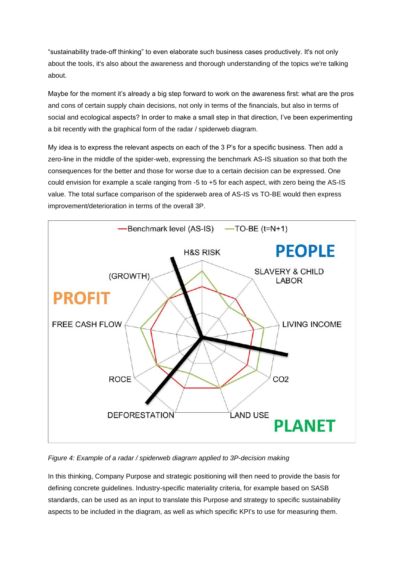"sustainability trade-off thinking" to even elaborate such business cases productively. It's not only about the tools, it's also about the awareness and thorough understanding of the topics we're talking about.

Maybe for the moment it's already a big step forward to work on the awareness first: what are the pros and cons of certain supply chain decisions, not only in terms of the financials, but also in terms of social and ecological aspects? In order to make a small step in that direction, I've been experimenting a bit recently with the graphical form of the radar / spiderweb diagram.

My idea is to express the relevant aspects on each of the 3 P's for a specific business. Then add a zero-line in the middle of the spider-web, expressing the benchmark AS-IS situation so that both the consequences for the better and those for worse due to a certain decision can be expressed. One could envision for example a scale ranging from -5 to +5 for each aspect, with zero being the AS-IS value. The total surface comparison of the spiderweb area of AS-IS vs TO-BE would then express improvement/deterioration in terms of the overall 3P.



*Figure 4: Example of a radar / spiderweb diagram applied to 3P-decision making*

In this thinking, Company Purpose and strategic positioning will then need to provide the basis for defining concrete guidelines. Industry-specific materiality criteria, for example based on SASB standards, can be used as an input to translate this Purpose and strategy to specific sustainability aspects to be included in the diagram, as well as which specific KPI's to use for measuring them.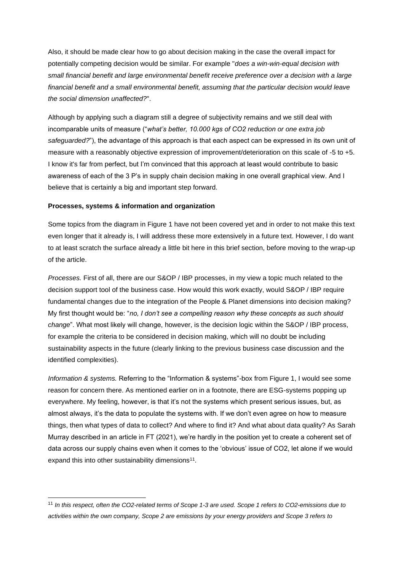Also, it should be made clear how to go about decision making in the case the overall impact for potentially competing decision would be similar. For example "*does a win-win-equal decision with small financial benefit and large environmental benefit receive preference over a decision with a large financial benefit and a small environmental benefit, assuming that the particular decision would leave the social dimension unaffected?*".

Although by applying such a diagram still a degree of subjectivity remains and we still deal with incomparable units of measure ("*what's better, 10.000 kgs of CO2 reduction or one extra job safeguarded?*"), the advantage of this approach is that each aspect can be expressed in its own unit of measure with a reasonably objective expression of improvement/deterioration on this scale of -5 to +5. I know it's far from perfect, but I'm convinced that this approach at least would contribute to basic awareness of each of the 3 P's in supply chain decision making in one overall graphical view. And I believe that is certainly a big and important step forward.

#### **Processes, systems & information and organization**

Some topics from the diagram in Figure 1 have not been covered yet and in order to not make this text even longer that it already is, I will address these more extensively in a future text. However, I do want to at least scratch the surface already a little bit here in this brief section, before moving to the wrap-up of the article.

*Processes.* First of all, there are our S&OP / IBP processes, in my view a topic much related to the decision support tool of the business case. How would this work exactly, would S&OP / IBP require fundamental changes due to the integration of the People & Planet dimensions into decision making? My first thought would be: "*no, I don't see a compelling reason why these concepts as such should change*". What most likely will change, however, is the decision logic within the S&OP / IBP process, for example the criteria to be considered in decision making, which will no doubt be including sustainability aspects in the future (clearly linking to the previous business case discussion and the identified complexities).

*Information & systems.* Referring to the "Information & systems"-box from Figure 1, I would see some reason for concern there. As mentioned earlier on in a footnote, there are ESG-systems popping up everywhere. My feeling, however, is that it's not the systems which present serious issues, but, as almost always, it's the data to populate the systems with. If we don't even agree on how to measure things, then what types of data to collect? And where to find it? And what about data quality? As Sarah Murray described in an article in FT (2021), we're hardly in the position yet to create a coherent set of data across our supply chains even when it comes to the 'obvious' issue of CO2, let alone if we would expand this into other sustainability dimensions<sup>11</sup>.

<sup>11</sup> *In this respect, often the CO2-related terms of Scope 1-3 are used. Scope 1 refers to CO2-emissions due to activities within the own company, Scope 2 are emissions by your energy providers and Scope 3 refers to*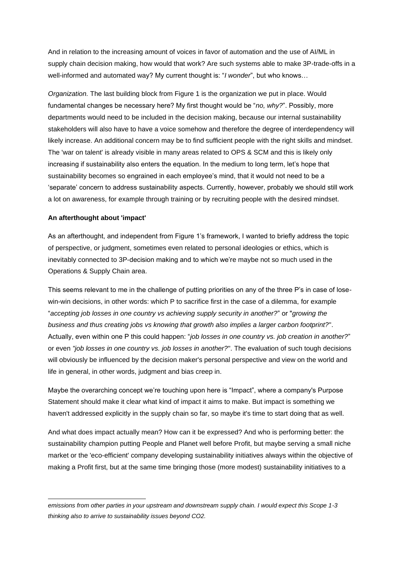And in relation to the increasing amount of voices in favor of automation and the use of AI/ML in supply chain decision making, how would that work? Are such systems able to make 3P-trade-offs in a well-informed and automated way? My current thought is: "*I wonder*", but who knows…

*Organization.* The last building block from Figure 1 is the organization we put in place. Would fundamental changes be necessary here? My first thought would be "*no, why?*". Possibly, more departments would need to be included in the decision making, because our internal sustainability stakeholders will also have to have a voice somehow and therefore the degree of interdependency will likely increase. An additional concern may be to find sufficient people with the right skills and mindset. The 'war on talent' is already visible in many areas related to OPS & SCM and this is likely only increasing if sustainability also enters the equation. In the medium to long term, let's hope that sustainability becomes so engrained in each employee's mind, that it would not need to be a 'separate' concern to address sustainability aspects. Currently, however, probably we should still work a lot on awareness, for example through training or by recruiting people with the desired mindset.

#### **An afterthought about 'impact'**

As an afterthought, and independent from Figure 1's framework, I wanted to briefly address the topic of perspective, or judgment, sometimes even related to personal ideologies or ethics, which is inevitably connected to 3P-decision making and to which we're maybe not so much used in the Operations & Supply Chain area.

This seems relevant to me in the challenge of putting priorities on any of the three P's in case of losewin-win decisions, in other words: which P to sacrifice first in the case of a dilemma, for example "*accepting job losses in one country vs achieving supply security in another?*" or "*growing the business and thus creating jobs vs knowing that growth also implies a larger carbon footprint?*". Actually, even within one P this could happen: "*job losses in one country vs. job creation in another?*" or even *"job losses in one country vs. job losses in another?*". The evaluation of such tough decisions will obviously be influenced by the decision maker's personal perspective and view on the world and life in general, in other words, judgment and bias creep in.

Maybe the overarching concept we're touching upon here is "Impact", where a company's Purpose Statement should make it clear what kind of impact it aims to make. But impact is something we haven't addressed explicitly in the supply chain so far, so maybe it's time to start doing that as well.

And what does impact actually mean? How can it be expressed? And who is performing better: the sustainability champion putting People and Planet well before Profit, but maybe serving a small niche market or the 'eco-efficient' company developing sustainability initiatives always within the objective of making a Profit first, but at the same time bringing those (more modest) sustainability initiatives to a

*emissions from other parties in your upstream and downstream supply chain. I would expect this Scope 1-3 thinking also to arrive to sustainability issues beyond CO2.*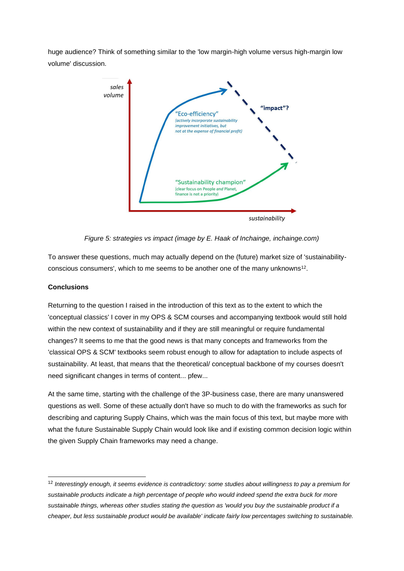huge audience? Think of something similar to the 'low margin-high volume versus high-margin low volume' discussion.



*Figure 5: strategies vs impact (image by E. Haak of Inchainge, inchainge.com)*

To answer these questions, much may actually depend on the (future) market size of 'sustainabilityconscious consumers', which to me seems to be another one of the many unknowns<sup>12</sup> .

### **Conclusions**

Returning to the question I raised in the introduction of this text as to the extent to which the 'conceptual classics' I cover in my OPS & SCM courses and accompanying textbook would still hold within the new context of sustainability and if they are still meaningful or require fundamental changes? It seems to me that the good news is that many concepts and frameworks from the 'classical OPS & SCM' textbooks seem robust enough to allow for adaptation to include aspects of sustainability. At least, that means that the theoretical/ conceptual backbone of my courses doesn't need significant changes in terms of content... pfew...

At the same time, starting with the challenge of the 3P-business case, there are many unanswered questions as well. Some of these actually don't have so much to do with the frameworks as such for describing and capturing Supply Chains, which was the main focus of this text, but maybe more with what the future Sustainable Supply Chain would look like and if existing common decision logic within the given Supply Chain frameworks may need a change.

<sup>12</sup> *Interestingly enough, it seems evidence is contradictory: some studies about willingness to pay a premium for sustainable products indicate a high percentage of people who would indeed spend the extra buck for more sustainable things, whereas other studies stating the question as 'would you buy the sustainable product if a cheaper, but less sustainable product would be available' indicate fairly low percentages switching to sustainable.*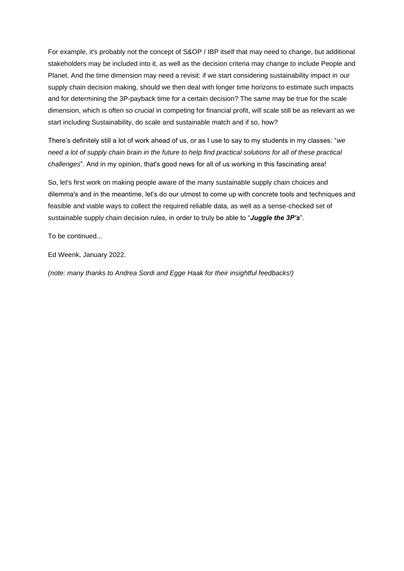For example, it's probably not the concept of S&OP / IBP itself that may need to change, but additional stakeholders may be included into it, as well as the decision criteria may change to include People and Planet. And the time dimension may need a revisit: if we start considering sustainability impact in our supply chain decision making, should we then deal with longer time horizons to estimate such impacts and for determining the 3P-payback time for a certain decision? The same may be true for the scale dimension, which is often so crucial in competing for financial profit, will scale still be as relevant as we start including Sustainability, do scale and sustainable match and if so, how?

There's definitely still a lot of work ahead of us, or as I use to say to my students in my classes: "*we need a lot of supply chain brain in the future to help find practical solutions for all of these practical challenges*". And in my opinion, that's good news for all of us working in this fascinating area!

So, let's first work on making people aware of the many sustainable supply chain choices and dilemma's and in the meantime, let's do our utmost to come up with concrete tools and techniques and feasible and viable ways to collect the required reliable data, as well as a sense-checked set of sustainable supply chain decision rules, in order to truly be able to "*Juggle the 3P's*".

To be continued...

Ed Weenk, January 2022.

*(note: many thanks to Andrea Sordi and Egge Haak for their insightful feedbacks!)*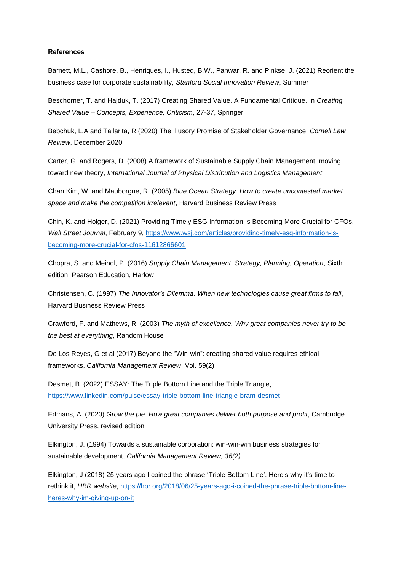#### **References**

Barnett, M.L., Cashore, B., Henriques, I., Husted, B.W., Panwar, R. and Pinkse, J. (2021) Reorient the business case for corporate sustainability, *Stanford Social Innovation Review*, Summer

Beschorner, T. and Hajduk, T. (2017) Creating Shared Value. A Fundamental Critique. In *Creating Shared Value – Concepts, Experience, Criticism*, 27-37, Springer

Bebchuk, L.A and Tallarita, R (2020) The Illusory Promise of Stakeholder Governance, *Cornell Law Review*, December 2020

Carter, G. and Rogers, D. (2008) A framework of Sustainable Supply Chain Management: moving toward new theory, *International Journal of Physical Distribution and Logistics Management*

Chan Kim, W. and Mauborgne, R. (2005) *Blue Ocean Strategy. How to create uncontested market space and make the competition irrelevant*, Harvard Business Review Press

Chin, K. and Holger, D. (2021) Providing Timely ESG Information Is Becoming More Crucial for CFOs, *Wall Street Journal*, February 9, [https://www.wsj.com/articles/providing-timely-esg-information-is](https://www.wsj.com/articles/providing-timely-esg-information-is-becoming-more-crucial-for-cfos-11612866601)[becoming-more-crucial-for-cfos-11612866601](https://www.wsj.com/articles/providing-timely-esg-information-is-becoming-more-crucial-for-cfos-11612866601)

Chopra, S. and Meindl, P. (2016) *Supply Chain Management. Strategy, Planning, Operation*, Sixth edition, Pearson Education, Harlow

Christensen, C. (1997) *The Innovator's Dilemma. When new technologies cause great firms to fail*, Harvard Business Review Press

Crawford, F. and Mathews, R. (2003) *The myth of excellence. Why great companies never try to be the best at everything*, Random House

De Los Reyes, G et al (2017) Beyond the "Win-win": creating shared value requires ethical frameworks, *California Management Review*, Vol. 59(2)

Desmet, B. (2022) ESSAY: The Triple Bottom Line and the Triple Triangle, <https://www.linkedin.com/pulse/essay-triple-bottom-line-triangle-bram-desmet>

Edmans, A. (2020) *Grow the pie. How great companies deliver both purpose and profit*, Cambridge University Press, revised edition

Elkington, J. (1994) Towards a sustainable corporation: win-win-win business strategies for sustainable development, *California Management Review, 36(2)*

Elkington, J (2018) 25 years ago I coined the phrase 'Triple Bottom Line'. Here's why it's time to rethink it, *HBR website*, [https://hbr.org/2018/06/25-years-ago-i-coined-the-phrase-triple-bottom-line](https://hbr.org/2018/06/25-years-ago-i-coined-the-phrase-triple-bottom-line-heres-why-im-giving-up-on-it)[heres-why-im-giving-up-on-it](https://hbr.org/2018/06/25-years-ago-i-coined-the-phrase-triple-bottom-line-heres-why-im-giving-up-on-it)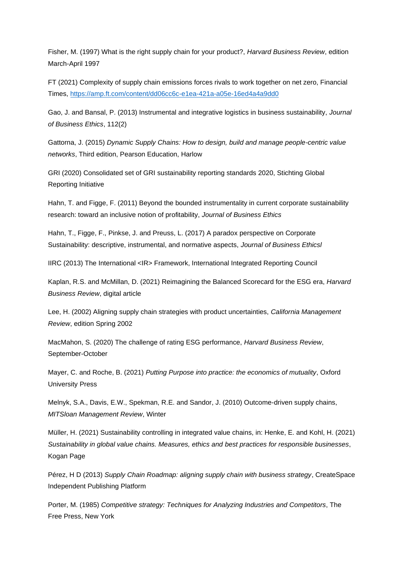Fisher, M. (1997) What is the right supply chain for your product?, *Harvard Business Review*, edition March-April 1997

FT (2021) Complexity of supply chain emissions forces rivals to work together on net zero, Financial Times,<https://amp.ft.com/content/dd06cc6c-e1ea-421a-a05e-16ed4a4a9dd0>

Gao, J. and Bansal, P. (2013) Instrumental and integrative logistics in business sustainability, *Journal of Business Ethics*, 112(2)

Gattorna, J. (2015) *Dynamic Supply Chains: How to design, build and manage people-centric value networks*, Third edition, Pearson Education, Harlow

GRI (2020) Consolidated set of GRI sustainability reporting standards 2020, Stichting Global Reporting Initiative

Hahn, T. and Figge, F. (2011) Beyond the bounded instrumentality in current corporate sustainability research: toward an inclusive notion of profitability, *Journal of Business Ethics*

Hahn, T., Figge, F., Pinkse, J. and Preuss, L. (2017) A paradox perspective on Corporate Sustainability: descriptive, instrumental, and normative aspects, *Journal of Business Ethicsl*

IIRC (2013) The International <IR> Framework, International Integrated Reporting Council

Kaplan, R.S. and McMillan, D. (2021) Reimagining the Balanced Scorecard for the ESG era, *Harvard Business Review*, digital article

Lee, H. (2002) Aligning supply chain strategies with product uncertainties, *California Management Review*, edition Spring 2002

MacMahon, S. (2020) The challenge of rating ESG performance, *Harvard Business Review*, September-October

Mayer, C. and Roche, B. (2021) *Putting Purpose into practice: the economics of mutuality*, Oxford University Press

Melnyk, S.A., Davis, E.W., Spekman, R.E. and Sandor, J. (2010) Outcome-driven supply chains, *MITSloan Management Review*, Winter

Müller, H. (2021) Sustainability controlling in integrated value chains, in: Henke, E. and Kohl, H. (2021) *Sustainability in global value chains. Measures, ethics and best practices for responsible businesses*, Kogan Page

Pérez, H D (2013) *Supply Chain Roadmap: aligning supply chain with business strategy*, CreateSpace Independent Publishing Platform

Porter, M. (1985) *Competitive strategy: Techniques for Analyzing Industries and Competitors*, The Free Press, New York